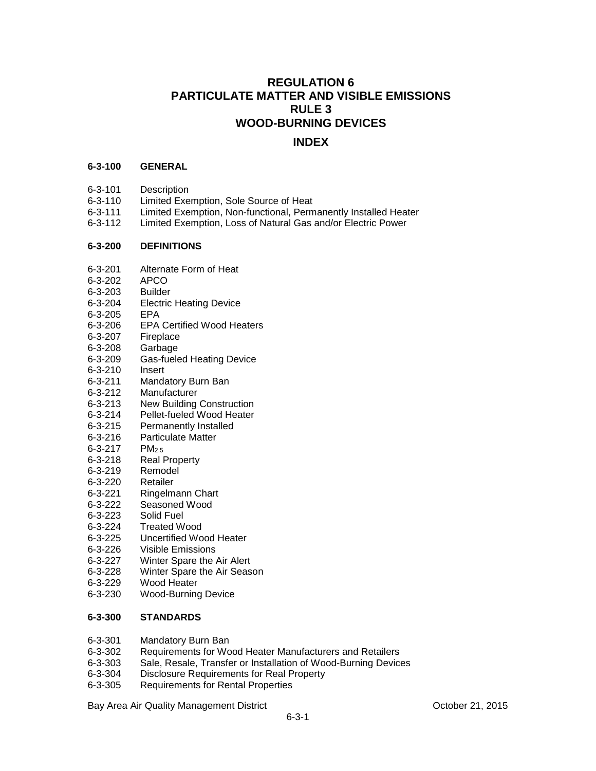# **REGULATION 6 PARTICULATE MATTER AND VISIBLE EMISSIONS RULE 3 WOOD-BURNING DEVICES**

# **INDEX**

#### **6-3-100 GENERAL**

- 6-3-101 Description
- 6-3-110 Limited Exemption, Sole Source of Heat
- 6-3-111 Limited Exemption, Non-functional, Permanently Installed Heater
- 6-3-112 Limited Exemption, Loss of Natural Gas and/or Electric Power

#### **6-3-200 DEFINITIONS**

- 6-3-201 Alternate Form of Heat
- 6-3-202 APCO
- 6-3-203 Builder
- 6-3-204 Electric Heating Device
- 6-3-205 EPA
- 6-3-206 EPA Certified Wood Heaters
- 6-3-207 Fireplace
- 6-3-208 Garbage
- 6-3-209 Gas-fueled Heating Device
- 6-3-210 Insert
- 6-3-211 Mandatory Burn Ban
- 6-3-212 Manufacturer
- 6-3-213 New Building Construction
- 6-3-214 Pellet-fueled Wood Heater
- 6-3-215 Permanently Installed
- 6-3-216 Particulate Matter
- 6-3-217 PM2.5
- 6-3-218 Real Property
- 6-3-219 Remodel<br>6-3-220 Retailer
- $6 3 220$
- 6-3-221 Ringelmann Chart
- 6-3-222 Seasoned Wood
- 6-3-223 Solid Fuel
- 6-3-224 Treated Wood
- 6-3-225 Uncertified Wood Heater
- 6-3-226 Visible Emissions
- 6-3-227 Winter Spare the Air Alert
- 6-3-228 Winter Spare the Air Season
- 6-3-229 Wood Heater
- 6-3-230 Wood-Burning Device

### **6-3-300 STANDARDS**

- 6-3-301 Mandatory Burn Ban
- 6-3-302 Requirements for Wood Heater Manufacturers and Retailers
- 6-3-303 Sale, Resale, Transfer or Installation of Wood-Burning Devices
- 6-3-304 Disclosure Requirements for Real Property
- 6-3-305 Requirements for Rental Properties

Bay Area Air Quality Management District **Containers** Corresponding Corresponding Corresponding October 21, 2015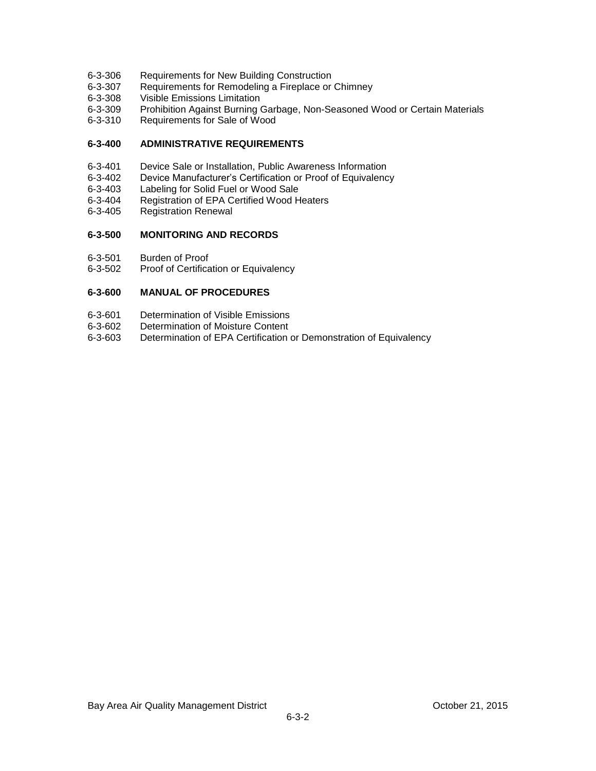- 6-3-306 Requirements for New Building Construction
- 6-3-307 Requirements for Remodeling a Fireplace or Chimney
- 6-3-308 Visible Emissions Limitation
- 6-3-309 Prohibition Against Burning Garbage, Non-Seasoned Wood or Certain Materials
- 6-3-310 Requirements for Sale of Wood

### **6-3-400 ADMINISTRATIVE REQUIREMENTS**

- 6-3-401 Device Sale or Installation, Public Awareness Information
- 6-3-402 Device Manufacturer's Certification or Proof of Equivalency
- 6-3-403 Labeling for Solid Fuel or Wood Sale
- 6-3-404 Registration of EPA Certified Wood Heaters
- 6-3-405 Registration Renewal

### **6-3-500 MONITORING AND RECORDS**

- 
- 6-3-501 Burden of Proof Proof of Certification or Equivalency

### **6-3-600 MANUAL OF PROCEDURES**

- 6-3-601 Determination of Visible Emissions
- 6-3-602 Determination of Moisture Content<br>6-3-603 Determination of EPA Certification
- Determination of EPA Certification or Demonstration of Equivalency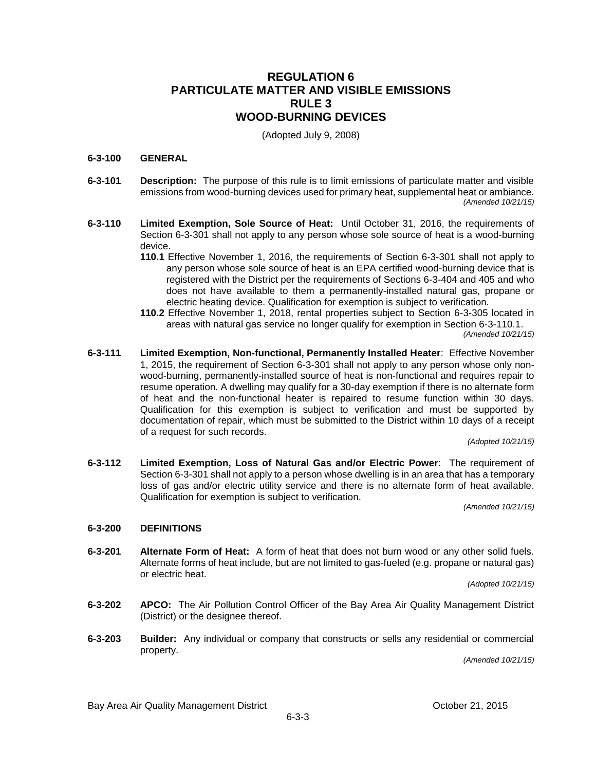# **REGULATION 6 PARTICULATE MATTER AND VISIBLE EMISSIONS RULE 3 WOOD-BURNING DEVICES**

(Adopted July 9, 2008)

### **6-3-100 GENERAL**

- **6-3-101 Description:** The purpose of this rule is to limit emissions of particulate matter and visible emissions from wood-burning devices used for primary heat, supplemental heat or ambiance. *(Amended 10/21/15)*
- **6-3-110 Limited Exemption, Sole Source of Heat:** Until October 31, 2016, the requirements of Section 6-3-301 shall not apply to any person whose sole source of heat is a wood-burning device.
	- **110.1** Effective November 1, 2016, the requirements of Section 6-3-301 shall not apply to any person whose sole source of heat is an EPA certified wood-burning device that is registered with the District per the requirements of Sections 6-3-404 and 405 and who does not have available to them a permanently-installed natural gas, propane or electric heating device. Qualification for exemption is subject to verification.
	- **110.2** Effective November 1, 2018, rental properties subject to Section 6-3-305 located in areas with natural gas service no longer qualify for exemption in Section 6-3-110.1. *(Amended 10/21/15)*
- **6-3-111 Limited Exemption, Non-functional, Permanently Installed Heater**: Effective November 1, 2015, the requirement of Section 6-3-301 shall not apply to any person whose only nonwood-burning, permanently-installed source of heat is non-functional and requires repair to resume operation. A dwelling may qualify for a 30-day exemption if there is no alternate form of heat and the non-functional heater is repaired to resume function within 30 days. Qualification for this exemption is subject to verification and must be supported by documentation of repair, which must be submitted to the District within 10 days of a receipt of a request for such records.

*(Adopted 10/21/15)*

**6-3-112 Limited Exemption, Loss of Natural Gas and/or Electric Power**: The requirement of Section 6-3-301 shall not apply to a person whose dwelling is in an area that has a temporary loss of gas and/or electric utility service and there is no alternate form of heat available. Qualification for exemption is subject to verification.

*(Amended 10/21/15)*

### **6-3-200 DEFINITIONS**

**6-3-201 Alternate Form of Heat:** A form of heat that does not burn wood or any other solid fuels. Alternate forms of heat include, but are not limited to gas-fueled (e.g. propane or natural gas) or electric heat.

*(Adopted 10/21/15)*

- **6-3-202 APCO:** The Air Pollution Control Officer of the Bay Area Air Quality Management District (District) or the designee thereof.
- **6-3-203 Builder:** Any individual or company that constructs or sells any residential or commercial property.

*(Amended 10/21/15)*

Bay Area Air Quality Management District **Containers** Coronation Coronation Coronation Coronation October 21, 2015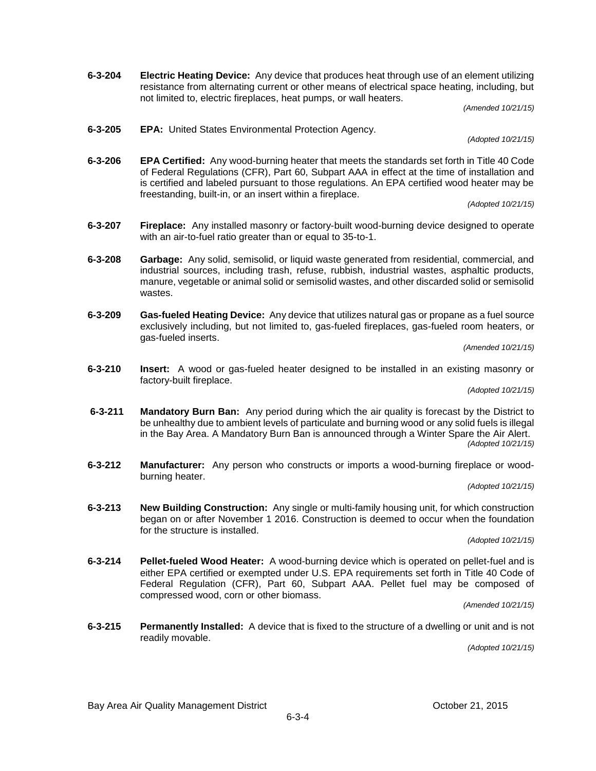**6-3-204 Electric Heating Device:** Any device that produces heat through use of an element utilizing resistance from alternating current or other means of electrical space heating, including, but not limited to, electric fireplaces, heat pumps, or wall heaters.

*(Amended 10/21/15)*

**6-3-205 EPA:** United States Environmental Protection Agency.

*(Adopted 10/21/15)*

**6-3-206 EPA Certified:** Any wood-burning heater that meets the standards set forth in Title 40 Code of Federal Regulations (CFR), Part 60, Subpart AAA in effect at the time of installation and is certified and labeled pursuant to those regulations. An EPA certified wood heater may be freestanding, built-in, or an insert within a fireplace.

*(Adopted 10/21/15)*

- **6-3-207 Fireplace:** Any installed masonry or factory-built wood-burning device designed to operate with an air-to-fuel ratio greater than or equal to 35-to-1.
- **6-3-208 Garbage:** Any solid, semisolid, or liquid waste generated from residential, commercial, and industrial sources, including trash, refuse, rubbish, industrial wastes, asphaltic products, manure, vegetable or animal solid or semisolid wastes, and other discarded solid or semisolid wastes.
- **6-3-209 Gas-fueled Heating Device:** Any device that utilizes natural gas or propane as a fuel source exclusively including, but not limited to, gas-fueled fireplaces, gas-fueled room heaters, or gas-fueled inserts.

*(Amended 10/21/15)*

**6-3-210 Insert:** A wood or gas-fueled heater designed to be installed in an existing masonry or factory-built fireplace.

*(Adopted 10/21/15)*

- **6-3-211 Mandatory Burn Ban:** Any period during which the air quality is forecast by the District to be unhealthy due to ambient levels of particulate and burning wood or any solid fuels is illegal in the Bay Area. A Mandatory Burn Ban is announced through a Winter Spare the Air Alert. *(Adopted 10/21/15)*
- **6-3-212 Manufacturer:** Any person who constructs or imports a wood-burning fireplace or woodburning heater.

*(Adopted 10/21/15)*

**6-3-213 New Building Construction:** Any single or multi-family housing unit, for which construction began on or after November 1 2016. Construction is deemed to occur when the foundation for the structure is installed.

*(Adopted 10/21/15)*

**6-3-214 Pellet-fueled Wood Heater:** A wood-burning device which is operated on pellet-fuel and is either EPA certified or exempted under U.S. EPA requirements set forth in Title 40 Code of Federal Regulation (CFR), Part 60, Subpart AAA. Pellet fuel may be composed of compressed wood, corn or other biomass.

*(Amended 10/21/15)*

**6-3-215 Permanently Installed:** A device that is fixed to the structure of a dwelling or unit and is not readily movable.

*(Adopted 10/21/15)*

Bay Area Air Quality Management District October 21, 2015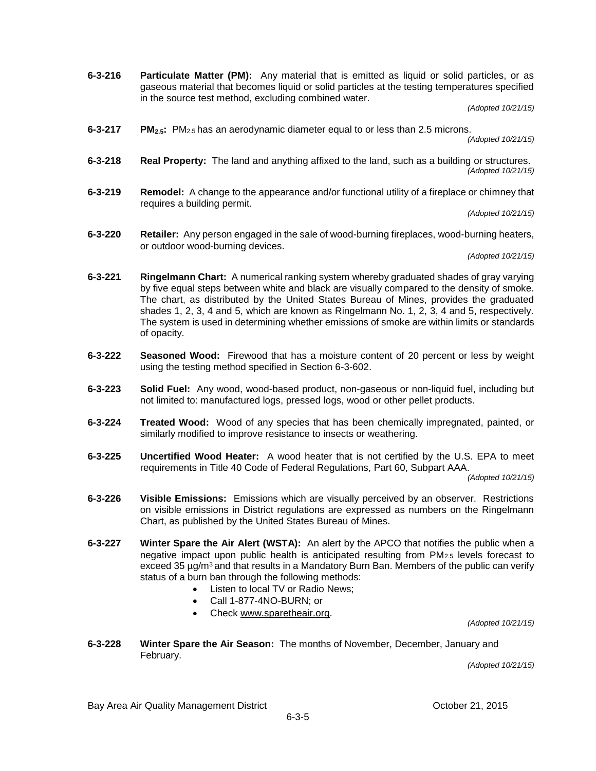**6-3-216 Particulate Matter (PM):** Any material that is emitted as liquid or solid particles, or as gaseous material that becomes liquid or solid particles at the testing temperatures specified in the source test method, excluding combined water.

*(Adopted 10/21/15)*

**6-3-217 PM2.5:** PM2.5 has an aerodynamic diameter equal to or less than 2.5 microns.

*(Adopted 10/21/15)*

- **6-3-218 Real Property:** The land and anything affixed to the land, such as a building or structures. *(Adopted 10/21/15)*
- **6-3-219 Remodel:** A change to the appearance and/or functional utility of a fireplace or chimney that requires a building permit.

*(Adopted 10/21/15)*

**6-3-220 Retailer:** Any person engaged in the sale of wood-burning fireplaces, wood-burning heaters, or outdoor wood-burning devices.

*(Adopted 10/21/15)*

- **6-3-221 Ringelmann Chart:** A numerical ranking system whereby graduated shades of gray varying by five equal steps between white and black are visually compared to the density of smoke. The chart, as distributed by the United States Bureau of Mines, provides the graduated shades 1, 2, 3, 4 and 5, which are known as Ringelmann No. 1, 2, 3, 4 and 5, respectively. The system is used in determining whether emissions of smoke are within limits or standards of opacity.
- **6-3-222 Seasoned Wood:** Firewood that has a moisture content of 20 percent or less by weight using the testing method specified in Section 6-3-602.
- **6-3-223 Solid Fuel:** Any wood, wood-based product, non-gaseous or non-liquid fuel, including but not limited to: manufactured logs, pressed logs, wood or other pellet products.
- **6-3-224 Treated Wood:** Wood of any species that has been chemically impregnated, painted, or similarly modified to improve resistance to insects or weathering.
- **6-3-225 Uncertified Wood Heater:** A wood heater that is not certified by the U.S. EPA to meet requirements in Title 40 Code of Federal Regulations, Part 60, Subpart AAA.

*(Adopted 10/21/15)*

- **6-3-226 Visible Emissions:** Emissions which are visually perceived by an observer. Restrictions on visible emissions in District regulations are expressed as numbers on the Ringelmann Chart, as published by the United States Bureau of Mines.
- **6-3-227 Winter Spare the Air Alert (WSTA):** An alert by the APCO that notifies the public when a negative impact upon public health is anticipated resulting from PM2.5 levels forecast to exceed 35 µg/m<sup>3</sup> and that results in a Mandatory Burn Ban. Members of the public can verify status of a burn ban through the following methods:
	- Listen to local TV or Radio News;
	- Call 1-877-4NO-BURN; or
	- Check [www.sparetheair.org.](http://www.sparetheair.org/)

*(Adopted 10/21/15)*

**6-3-228 Winter Spare the Air Season:** The months of November, December, January and February.

*(Adopted 10/21/15)*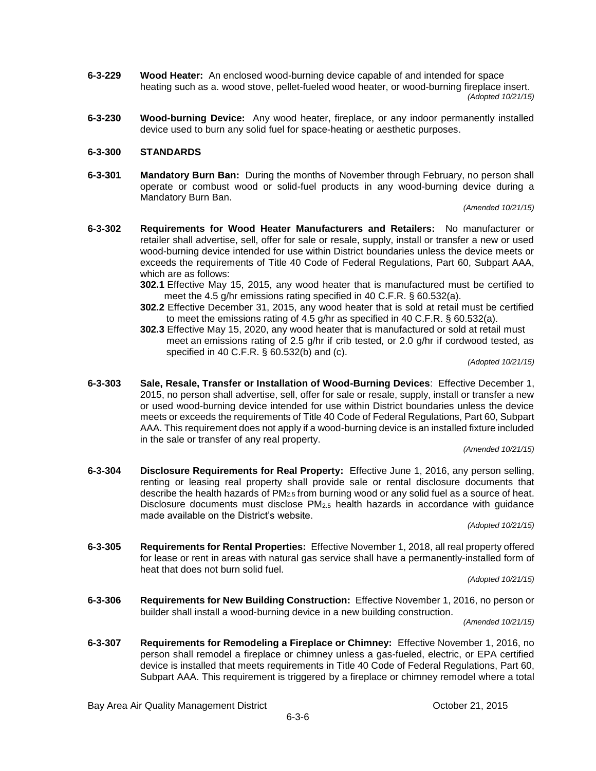- **6-3-229 Wood Heater:** An enclosed wood-burning device capable of and intended for space heating such as a. wood stove, pellet-fueled wood heater, or wood-burning fireplace insert. *(Adopted 10/21/15)*
- **6-3-230 Wood-burning Device:** Any wood heater, fireplace, or any indoor permanently installed device used to burn any solid fuel for space-heating or aesthetic purposes.

### **6-3-300 STANDARDS**

**6-3-301 Mandatory Burn Ban:** During the months of November through February, no person shall operate or combust wood or solid-fuel products in any wood-burning device during a Mandatory Burn Ban.

*(Amended 10/21/15)*

- **6-3-302 Requirements for Wood Heater Manufacturers and Retailers:** No manufacturer or retailer shall advertise, sell, offer for sale or resale, supply, install or transfer a new or used wood-burning device intended for use within District boundaries unless the device meets or exceeds the requirements of Title 40 Code of Federal Regulations, Part 60, Subpart AAA, which are as follows:
	- **302.1** Effective May 15, 2015, any wood heater that is manufactured must be certified to meet the 4.5 g/hr emissions rating specified in 40 C.F.R. § 60.532(a).
	- **302.2** Effective December 31, 2015, any wood heater that is sold at retail must be certified to meet the emissions rating of 4.5 g/hr as specified in 40 C.F.R. § 60.532(a).
	- **302.3** Effective May 15, 2020, any wood heater that is manufactured or sold at retail must meet an emissions rating of 2.5 g/hr if crib tested, or 2.0 g/hr if cordwood tested, as specified in 40 C.F.R. § 60.532(b) and (c).

*(Adopted 10/21/15)*

**6-3-303 Sale, Resale, Transfer or Installation of Wood-Burning Devices**: Effective December 1, 2015, no person shall advertise, sell, offer for sale or resale, supply, install or transfer a new or used wood-burning device intended for use within District boundaries unless the device meets or exceeds the requirements of Title 40 Code of Federal Regulations, Part 60, Subpart AAA. This requirement does not apply if a wood-burning device is an installed fixture included in the sale or transfer of any real property.

*(Amended 10/21/15)*

**6-3-304 Disclosure Requirements for Real Property:** Effective June 1, 2016, any person selling, renting or leasing real property shall provide sale or rental disclosure documents that describe the health hazards of PM<sub>2.5</sub> from burning wood or any solid fuel as a source of heat. Disclosure documents must disclose  $PM_{2.5}$  health hazards in accordance with quidance made available on the District's website.

*(Adopted 10/21/15)*

**6-3-305 Requirements for Rental Properties:** Effective November 1, 2018, all real property offered for lease or rent in areas with natural gas service shall have a permanently-installed form of heat that does not burn solid fuel.

*(Adopted 10/21/15)*

**6-3-306 Requirements for New Building Construction:** Effective November 1, 2016, no person or builder shall install a wood-burning device in a new building construction.

*(Amended 10/21/15)*

**6-3-307 Requirements for Remodeling a Fireplace or Chimney:** Effective November 1, 2016, no person shall remodel a fireplace or chimney unless a gas-fueled, electric, or EPA certified device is installed that meets requirements in Title 40 Code of Federal Regulations, Part 60, Subpart AAA. This requirement is triggered by a fireplace or chimney remodel where a total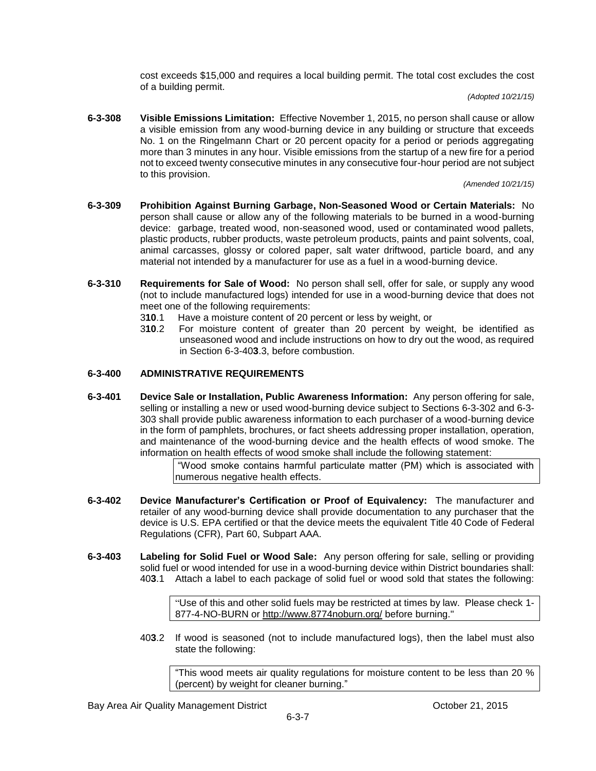cost exceeds \$15,000 and requires a local building permit. The total cost excludes the cost of a building permit.

*(Adopted 10/21/15)*

**6-3-308 Visible Emissions Limitation:** Effective November 1, 2015, no person shall cause or allow a visible emission from any wood-burning device in any building or structure that exceeds No. 1 on the Ringelmann Chart or 20 percent opacity for a period or periods aggregating more than 3 minutes in any hour. Visible emissions from the startup of a new fire for a period not to exceed twenty consecutive minutes in any consecutive four-hour period are not subject to this provision.

*(Amended 10/21/15)*

- **6-3-309 Prohibition Against Burning Garbage, Non-Seasoned Wood or Certain Materials:** No person shall cause or allow any of the following materials to be burned in a wood-burning device: garbage, treated wood, non-seasoned wood, used or contaminated wood pallets, plastic products, rubber products, waste petroleum products, paints and paint solvents, coal, animal carcasses, glossy or colored paper, salt water driftwood, particle board, and any material not intended by a manufacturer for use as a fuel in a wood-burning device.
- **6-3-310 Requirements for Sale of Wood:** No person shall sell, offer for sale, or supply any wood (not to include manufactured logs) intended for use in a wood-burning device that does not meet one of the following requirements:
	- 3**10**.1 Have a moisture content of 20 percent or less by weight, or
	- 3**10**.2 For moisture content of greater than 20 percent by weight, be identified as unseasoned wood and include instructions on how to dry out the wood, as required in Section 6-3-40**3**.3, before combustion.

## **6-3-400 ADMINISTRATIVE REQUIREMENTS**

**6-3-401 Device Sale or Installation, Public Awareness Information:** Any person offering for sale, selling or installing a new or used wood-burning device subject to Sections 6-3-302 and 6-3- 303 shall provide public awareness information to each purchaser of a wood-burning device in the form of pamphlets, brochures, or fact sheets addressing proper installation, operation, and maintenance of the wood-burning device and the health effects of wood smoke. The information on health effects of wood smoke shall include the following statement:

> "Wood smoke contains harmful particulate matter (PM) which is associated with numerous negative health effects.

- **6-3-402 Device Manufacturer's Certification or Proof of Equivalency:** The manufacturer and retailer of any wood-burning device shall provide documentation to any purchaser that the device is U.S. EPA certified or that the device meets the equivalent Title 40 Code of Federal Regulations (CFR), Part 60, Subpart AAA.
- **6-3-403 Labeling for Solid Fuel or Wood Sale:** Any person offering for sale, selling or providing solid fuel or wood intended for use in a wood-burning device within District boundaries shall: 40**3**.1 Attach a label to each package of solid fuel or wood sold that states the following:

"Use of this and other solid fuels may be restricted at times by law. Please check 1- 877-4-NO-BURN or<http://www.8774noburn.org/> before burning."

40**3**.2 If wood is seasoned (not to include manufactured logs), then the label must also state the following:

"This wood meets air quality regulations for moisture content to be less than 20 % (percent) by weight for cleaner burning."